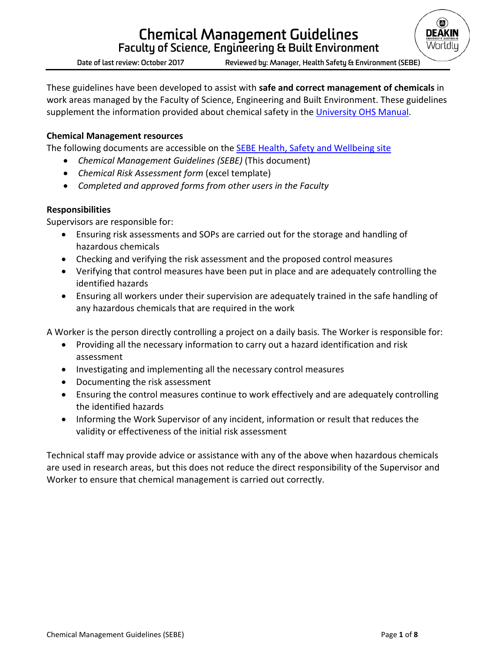

**Date of last review: October 2017 Reviewed by: Manager, Health Safety & Environment (SEBE)**

These guidelines have been developed to assist with **safe and correct management of chemicals** in work areas managed by the Faculty of Science, Engineering and Built Environment. These guidelines supplement the information provided about chemical safety in the [University OHS Manual.](http://www.deakin.edu.au/life-at-deakin/health-wellbeing-safety/occupational-health-and-safety/ohs-manual/chemical-safety)

## **Chemical Management resources**

The following documents are accessible on the [SEBE Health, Safety and Wellbeing site](https://wiki.deakin.edu.au/display/SEBE/Staff+intranet)

- *Chemical Management Guidelines (SEBE)* (This document)
- *Chemical Risk Assessment form* (excel template)
- *Completed and approved forms from other users in the Faculty*

## **Responsibilities**

Supervisors are responsible for:

- Ensuring risk assessments and SOPs are carried out for the storage and handling of hazardous chemicals
- Checking and verifying the risk assessment and the proposed control measures
- Verifying that control measures have been put in place and are adequately controlling the identified hazards
- Ensuring all workers under their supervision are adequately trained in the safe handling of any hazardous chemicals that are required in the work

A Worker is the person directly controlling a project on a daily basis. The Worker is responsible for:

- Providing all the necessary information to carry out a hazard identification and risk assessment
- Investigating and implementing all the necessary control measures
- Documenting the risk assessment
- Ensuring the control measures continue to work effectively and are adequately controlling the identified hazards
- Informing the Work Supervisor of any incident, information or result that reduces the validity or effectiveness of the initial risk assessment

Technical staff may provide advice or assistance with any of the above when hazardous chemicals are used in research areas, but this does not reduce the direct responsibility of the Supervisor and Worker to ensure that chemical management is carried out correctly.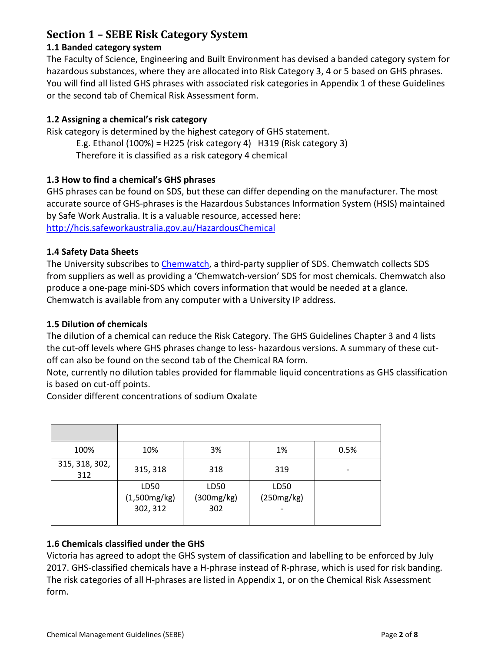## **Section 1 – SEBE Risk Category System**

#### **1.1 Banded category system**

The Faculty of Science, Engineering and Built Environment has devised a banded category system for hazardous substances, where they are allocated into Risk Category 3, 4 or 5 based on GHS phrases. You will find all listed GHS phrases with associated risk categories in Appendix 1 of these Guidelines or the second tab of Chemical Risk Assessment form.

#### **1.2 Assigning a chemical's risk category**

Risk category is determined by the highest category of GHS statement.

E.g. Ethanol (100%) = H225 (risk category 4) H319 (Risk category 3) Therefore it is classified as a risk category 4 chemical

## **1.3 How to find a chemical's GHS phrases**

GHS phrases can be found on SDS, but these can differ depending on the manufacturer. The most accurate source of GHS-phrases is the Hazardous Substances Information System (HSIS) maintained by Safe Work Australia. It is a valuable resource, accessed here:

<http://hcis.safeworkaustralia.gov.au/HazardousChemical>

#### **1.4 Safety Data Sheets**

The University subscribes to [Chemwatch,](http://www.deakin.edu.au/life-at-deakin/health-wellbeing-safety/occupational-health-and-safety/chemwatch) a third-party supplier of SDS. Chemwatch collects SDS from suppliers as well as providing a 'Chemwatch-version' SDS for most chemicals. Chemwatch also produce a one-page mini-SDS which covers information that would be needed at a glance. Chemwatch is available from any computer with a University IP address.

#### **1.5 Dilution of chemicals**

The dilution of a chemical can reduce the Risk Category. The GHS Guidelines Chapter 3 and 4 lists the cut-off levels where GHS phrases change to less- hazardous versions. A summary of these cutoff can also be found on the second tab of the Chemical RA form.

Note, currently no dilution tables provided for flammable liquid concentrations as GHS classification is based on cut-off points.

Consider different concentrations of sodium Oxalate

| 100%                  | 10%                              | 3%                        | 1%                                   | 0.5%                     |
|-----------------------|----------------------------------|---------------------------|--------------------------------------|--------------------------|
| 315, 318, 302,<br>312 | 315, 318                         | 318                       | 319                                  | $\overline{\phantom{a}}$ |
|                       | LD50<br>(1,500mg/kg)<br>302, 312 | LD50<br>(300mg/kg)<br>302 | LD50<br>(250mg/kg)<br>$\overline{a}$ |                          |

## **1.6 Chemicals classified under the GHS**

Victoria has agreed to adopt the GHS system of classification and labelling to be enforced by July 2017. GHS-classified chemicals have a H-phrase instead of R-phrase, which is used for risk banding. The risk categories of all H-phrases are listed in Appendix 1, or on the Chemical Risk Assessment form.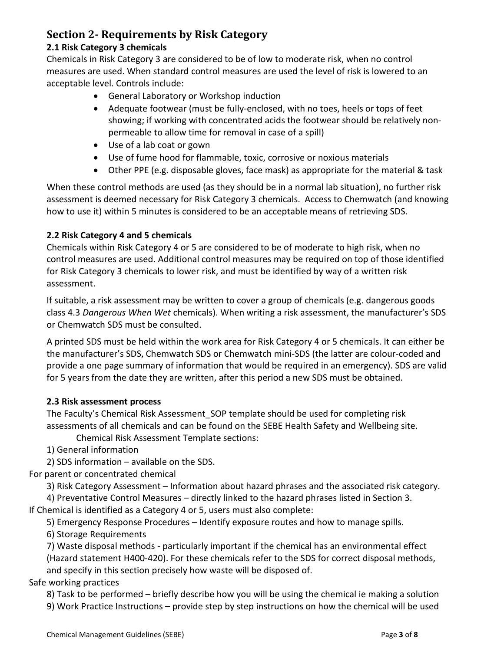# **Section 2- Requirements by Risk Category**

#### **2.1 Risk Category 3 chemicals**

Chemicals in Risk Category 3 are considered to be of low to moderate risk, when no control measures are used. When standard control measures are used the level of risk is lowered to an acceptable level. Controls include:

- General Laboratory or Workshop induction
- Adequate footwear (must be fully-enclosed, with no toes, heels or tops of feet showing; if working with concentrated acids the footwear should be relatively nonpermeable to allow time for removal in case of a spill)
- Use of a lab coat or gown
- Use of fume hood for flammable, toxic, corrosive or noxious materials
- Other PPE (e.g. disposable gloves, face mask) as appropriate for the material & task

When these control methods are used (as they should be in a normal lab situation), no further risk assessment is deemed necessary for Risk Category 3 chemicals. Access to Chemwatch (and knowing how to use it) within 5 minutes is considered to be an acceptable means of retrieving SDS.

#### **2.2 Risk Category 4 and 5 chemicals**

Chemicals within Risk Category 4 or 5 are considered to be of moderate to high risk, when no control measures are used. Additional control measures may be required on top of those identified for Risk Category 3 chemicals to lower risk, and must be identified by way of a written risk assessment.

If suitable, a risk assessment may be written to cover a group of chemicals (e.g. dangerous goods class 4.3 *Dangerous When Wet* chemicals). When writing a risk assessment, the manufacturer's SDS or Chemwatch SDS must be consulted.

A printed SDS must be held within the work area for Risk Category 4 or 5 chemicals. It can either be the manufacturer's SDS, Chemwatch SDS or Chemwatch mini-SDS (the latter are colour-coded and provide a one page summary of information that would be required in an emergency). SDS are valid for 5 years from the date they are written, after this period a new SDS must be obtained.

#### **2.3 Risk assessment process**

The Faculty's Chemical Risk Assessment SOP template should be used for completing risk assessments of all chemicals and can be found on the SEBE Health Safety and Wellbeing site.

Chemical Risk Assessment Template sections:

1) General information

2) SDS information – available on the SDS.

For parent or concentrated chemical

3) Risk Category Assessment – Information about hazard phrases and the associated risk category.

4) Preventative Control Measures – directly linked to the hazard phrases listed in Section 3.

If Chemical is identified as a Category 4 or 5, users must also complete:

5) Emergency Response Procedures – Identify exposure routes and how to manage spills.

6) Storage Requirements

7) Waste disposal methods - particularly important if the chemical has an environmental effect (Hazard statement H400-420). For these chemicals refer to the SDS for correct disposal methods, and specify in this section precisely how waste will be disposed of.

## Safe working practices

8) Task to be performed – briefly describe how you will be using the chemical ie making a solution

9) Work Practice Instructions – provide step by step instructions on how the chemical will be used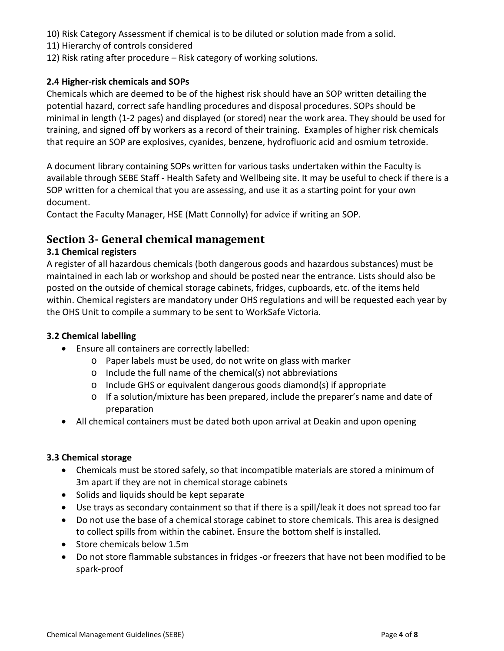- 10) Risk Category Assessment if chemical is to be diluted or solution made from a solid.
- 11) Hierarchy of controls considered
- 12) Risk rating after procedure Risk category of working solutions.

## **2.4 Higher-risk chemicals and SOPs**

Chemicals which are deemed to be of the highest risk should have an SOP written detailing the potential hazard, correct safe handling procedures and disposal procedures. SOPs should be minimal in length (1-2 pages) and displayed (or stored) near the work area. They should be used for training, and signed off by workers as a record of their training. Examples of higher risk chemicals that require an SOP are explosives, cyanides, benzene, hydrofluoric acid and osmium tetroxide.

A document library containing SOPs written for various tasks undertaken within the Faculty is available through SEBE Staff - Health Safety and Wellbeing site. It may be useful to check if there is a SOP written for a chemical that you are assessing, and use it as a starting point for your own document.

Contact the Faculty Manager, HSE (Matt Connolly) for advice if writing an SOP.

## **Section 3- General chemical management**

## **3.1 Chemical registers**

A register of all hazardous chemicals (both dangerous goods and hazardous substances) must be maintained in each lab or workshop and should be posted near the entrance. Lists should also be posted on the outside of chemical storage cabinets, fridges, cupboards, etc. of the items held within. Chemical registers are mandatory under OHS regulations and will be requested each year by the OHS Unit to compile a summary to be sent to WorkSafe Victoria.

## **3.2 Chemical labelling**

- Ensure all containers are correctly labelled:
	- o Paper labels must be used, do not write on glass with marker
	- o Include the full name of the chemical(s) not abbreviations
	- o Include GHS or equivalent dangerous goods diamond(s) if appropriate
	- o If a solution/mixture has been prepared, include the preparer's name and date of preparation
- All chemical containers must be dated both upon arrival at Deakin and upon opening

## **3.3 Chemical storage**

- Chemicals must be stored safely, so that incompatible materials are stored a minimum of 3m apart if they are not in chemical storage cabinets
- Solids and liquids should be kept separate
- Use trays as secondary containment so that if there is a spill/leak it does not spread too far
- Do not use the base of a chemical storage cabinet to store chemicals. This area is designed to collect spills from within the cabinet. Ensure the bottom shelf is installed.
- Store chemicals below 1.5m
- Do not store flammable substances in fridges -or freezers that have not been modified to be spark-proof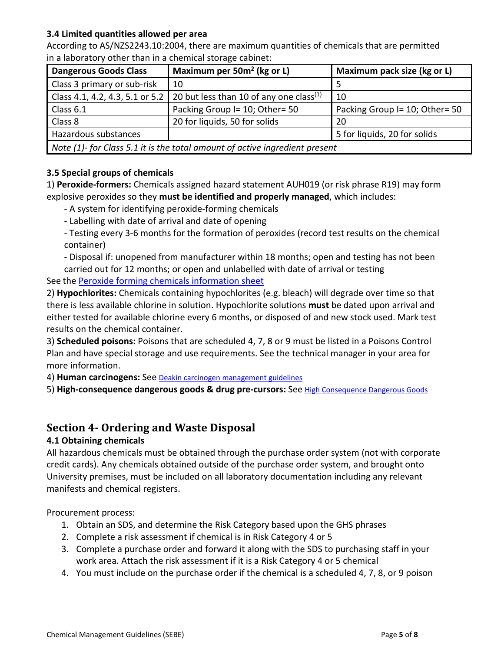#### **3.4 Limited quantities allowed per area**

According to AS/NZS2243.10:2004, there are maximum quantities of chemicals that are permitted in a laboratory other than in a chemical storage cabinet:

| <b>Dangerous Goods Class</b>                                                | Maximum per $50m^2$ (kg or L)                       | Maximum pack size (kg or L)    |  |  |  |
|-----------------------------------------------------------------------------|-----------------------------------------------------|--------------------------------|--|--|--|
| Class 3 primary or sub-risk                                                 | 10                                                  |                                |  |  |  |
| Class 4.1, 4.2, 4.3, 5.1 or 5.2                                             | 20 but less than 10 of any one class <sup>(1)</sup> | 10                             |  |  |  |
| Class 6.1                                                                   | Packing Group I= 10; Other= 50                      | Packing Group I= 10; Other= 50 |  |  |  |
| Class 8                                                                     | 20 for liquids, 50 for solids                       | 20                             |  |  |  |
| Hazardous substances                                                        |                                                     | 5 for liquids, 20 for solids   |  |  |  |
| Note (1)- for Class 5.1 it is the total amount of active ingredient present |                                                     |                                |  |  |  |

## **3.5 Special groups of chemicals**

1) **Peroxide-formers:** Chemicals assigned hazard statement AUH019 (or risk phrase R19) may form explosive peroxides so they **must be identified and properly managed**, which includes:

- A system for identifying peroxide-forming chemicals
- Labelling with date of arrival and date of opening
- Testing every 3-6 months for the formation of peroxides (record test results on the chemical container)

- Disposal if: unopened from manufacturer within 18 months; open and testing has not been carried out for 12 months; or open and unlabelled with date of arrival or testing

See the [Peroxide forming chemicals information sheet](https://www.deakin.edu.au/__data/assets/pdf_file/0018/2012436/Peroxide-forming-compounds-information-sheet.pdf)

2) **Hypochlorites:** Chemicals containing hypochlorites (e.g. bleach) will degrade over time so that there is less available chlorine in solution. Hypochlorite solutions **must** be dated upon arrival and either tested for available chlorine every 6 months, or disposed of and new stock used. Mark test results on the chemical container.

3) **Scheduled poisons:** Poisons that are scheduled 4, 7, 8 or 9 must be listed in a Poisons Control Plan and have special storage and use requirements. See the technical manager in your area for more information.

4) **Human carcinogens:** See [Deakin carcinogen management guidelines](http://www.deakin.edu.au/__data/assets/pdf_file/0009/228591/carcinogens-guidelines.pdf)

5) **High-consequence dangerous goods & drug pre-cursors:** See [High Consequence Dangerous Goods](http://www.deakin.edu.au/life-at-deakin/health-wellbeing-safety/occupational-health-and-safety/ohs-manual/chemical-safety)

## **Section 4- Ordering and Waste Disposal**

## **4.1 Obtaining chemicals**

All hazardous chemicals must be obtained through the purchase order system (not with corporate credit cards). Any chemicals obtained outside of the purchase order system, and brought onto University premises, must be included on all laboratory documentation including any relevant manifests and chemical registers.

Procurement process:

- 1. Obtain an SDS, and determine the Risk Category based upon the GHS phrases
- 2. Complete a risk assessment if chemical is in Risk Category 4 or 5
- 3. Complete a purchase order and forward it along with the SDS to purchasing staff in your work area. Attach the risk assessment if it is a Risk Category 4 or 5 chemical
- 4. You must include on the purchase order if the chemical is a scheduled 4, 7, 8, or 9 poison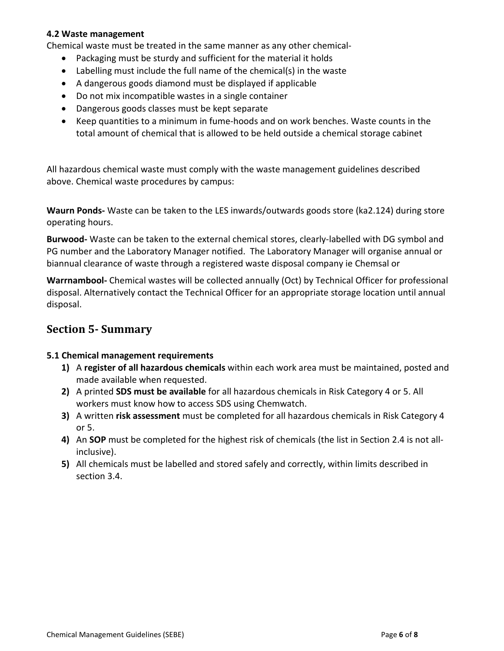#### **4.2 Waste management**

Chemical waste must be treated in the same manner as any other chemical-

- Packaging must be sturdy and sufficient for the material it holds
- Labelling must include the full name of the chemical(s) in the waste
- A dangerous goods diamond must be displayed if applicable
- Do not mix incompatible wastes in a single container
- Dangerous goods classes must be kept separate
- Keep quantities to a minimum in fume-hoods and on work benches. Waste counts in the total amount of chemical that is allowed to be held outside a chemical storage cabinet

All hazardous chemical waste must comply with the waste management guidelines described above. Chemical waste procedures by campus:

**Waurn Ponds-** Waste can be taken to the LES inwards/outwards goods store (ka2.124) during store operating hours.

**Burwood-** Waste can be taken to the external chemical stores, clearly-labelled with DG symbol and PG number and the Laboratory Manager notified. The Laboratory Manager will organise annual or biannual clearance of waste through a registered waste disposal company ie Chemsal or

**Warrnambool-** Chemical wastes will be collected annually (Oct) by Technical Officer for professional disposal. Alternatively contact the Technical Officer for an appropriate storage location until annual disposal.

## **Section 5- Summary**

#### **5.1 Chemical management requirements**

- **1)** A **register of all hazardous chemicals** within each work area must be maintained, posted and made available when requested.
- **2)** A printed **SDS must be available** for all hazardous chemicals in Risk Category 4 or 5. All workers must know how to access SDS using Chemwatch.
- **3)** A written **risk assessment** must be completed for all hazardous chemicals in Risk Category 4 or 5.
- **4)** An **SOP** must be completed for the highest risk of chemicals (the list in Section 2.4 is not allinclusive).
- **5)** All chemicals must be labelled and stored safely and correctly, within limits described in section 3.4.